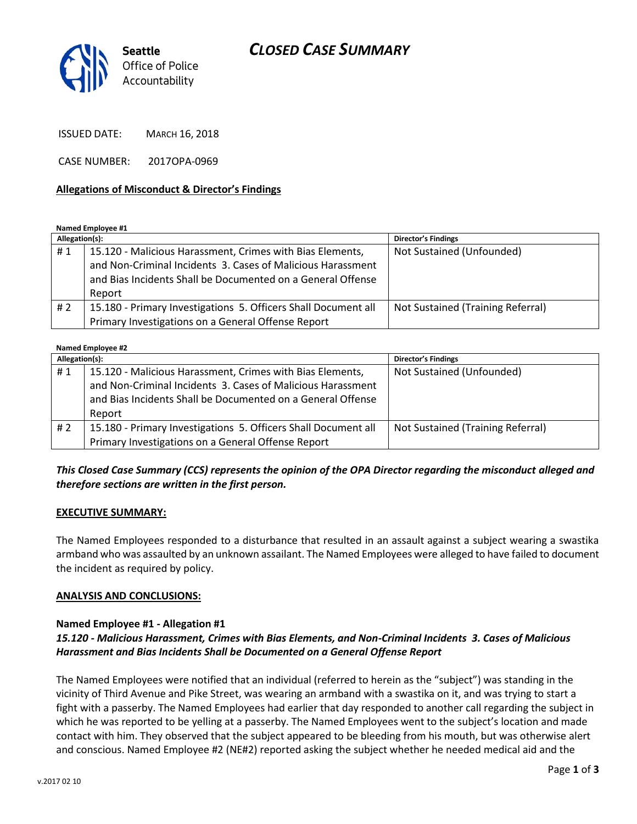# *CLOSED CASE SUMMARY*



ISSUED DATE: MARCH 16, 2018

CASE NUMBER: 2017OPA-0969

#### **Allegations of Misconduct & Director's Findings**

**Named Employee #1**

| Allegation(s): |                                                                | <b>Director's Findings</b>        |
|----------------|----------------------------------------------------------------|-----------------------------------|
| #1             | 15.120 - Malicious Harassment, Crimes with Bias Elements,      | Not Sustained (Unfounded)         |
|                | and Non-Criminal Incidents 3. Cases of Malicious Harassment    |                                   |
|                | and Bias Incidents Shall be Documented on a General Offense    |                                   |
|                | Report                                                         |                                   |
| # 2            | 15.180 - Primary Investigations 5. Officers Shall Document all | Not Sustained (Training Referral) |
|                | Primary Investigations on a General Offense Report             |                                   |

| <b>Named Employee #2</b> |                                                                                                                                                                                         |                                   |  |
|--------------------------|-----------------------------------------------------------------------------------------------------------------------------------------------------------------------------------------|-----------------------------------|--|
| Allegation(s):           |                                                                                                                                                                                         | <b>Director's Findings</b>        |  |
| #1                       | 15.120 - Malicious Harassment, Crimes with Bias Elements,<br>and Non-Criminal Incidents 3. Cases of Malicious Harassment<br>and Bias Incidents Shall be Documented on a General Offense | Not Sustained (Unfounded)         |  |
|                          | Report                                                                                                                                                                                  |                                   |  |
| # 2                      | 15.180 - Primary Investigations 5. Officers Shall Document all                                                                                                                          | Not Sustained (Training Referral) |  |
|                          | Primary Investigations on a General Offense Report                                                                                                                                      |                                   |  |

## *This Closed Case Summary (CCS) represents the opinion of the OPA Director regarding the misconduct alleged and therefore sections are written in the first person.*

#### **EXECUTIVE SUMMARY:**

The Named Employees responded to a disturbance that resulted in an assault against a subject wearing a swastika armband who was assaulted by an unknown assailant. The Named Employees were alleged to have failed to document the incident as required by policy.

#### **ANALYSIS AND CONCLUSIONS:**

### **Named Employee #1 - Allegation #1**

# *15.120 - Malicious Harassment, Crimes with Bias Elements, and Non-Criminal Incidents 3. Cases of Malicious Harassment and Bias Incidents Shall be Documented on a General Offense Report*

The Named Employees were notified that an individual (referred to herein as the "subject") was standing in the vicinity of Third Avenue and Pike Street, was wearing an armband with a swastika on it, and was trying to start a fight with a passerby. The Named Employees had earlier that day responded to another call regarding the subject in which he was reported to be yelling at a passerby. The Named Employees went to the subject's location and made contact with him. They observed that the subject appeared to be bleeding from his mouth, but was otherwise alert and conscious. Named Employee #2 (NE#2) reported asking the subject whether he needed medical aid and the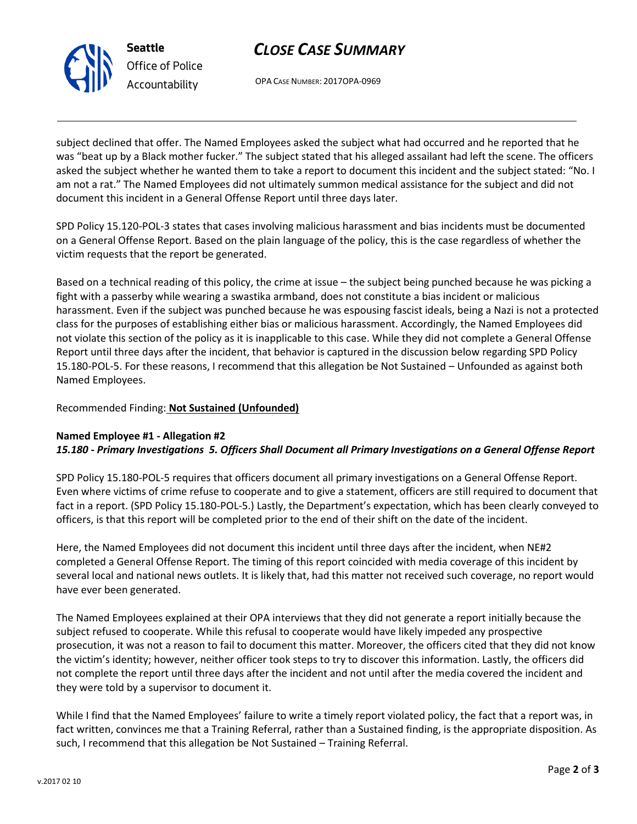# *CLOSE CASE SUMMARY*

OPA CASE NUMBER: 2017OPA-0969

subject declined that offer. The Named Employees asked the subject what had occurred and he reported that he was "beat up by a Black mother fucker." The subject stated that his alleged assailant had left the scene. The officers asked the subject whether he wanted them to take a report to document this incident and the subject stated: "No. I am not a rat." The Named Employees did not ultimately summon medical assistance for the subject and did not document this incident in a General Offense Report until three days later.

SPD Policy 15.120-POL-3 states that cases involving malicious harassment and bias incidents must be documented on a General Offense Report. Based on the plain language of the policy, this is the case regardless of whether the victim requests that the report be generated.

Based on a technical reading of this policy, the crime at issue – the subject being punched because he was picking a fight with a passerby while wearing a swastika armband, does not constitute a bias incident or malicious harassment. Even if the subject was punched because he was espousing fascist ideals, being a Nazi is not a protected class for the purposes of establishing either bias or malicious harassment. Accordingly, the Named Employees did not violate this section of the policy as it is inapplicable to this case. While they did not complete a General Offense Report until three days after the incident, that behavior is captured in the discussion below regarding SPD Policy 15.180-POL-5. For these reasons, I recommend that this allegation be Not Sustained – Unfounded as against both Named Employees.

## Recommended Finding: **Not Sustained (Unfounded)**

### **Named Employee #1 - Allegation #2** *15.180 - Primary Investigations 5. Officers Shall Document all Primary Investigations on a General Offense Report*

SPD Policy 15.180-POL-5 requires that officers document all primary investigations on a General Offense Report. Even where victims of crime refuse to cooperate and to give a statement, officers are still required to document that fact in a report. (SPD Policy 15.180-POL-5.) Lastly, the Department's expectation, which has been clearly conveyed to officers, is that this report will be completed prior to the end of their shift on the date of the incident.

Here, the Named Employees did not document this incident until three days after the incident, when NE#2 completed a General Offense Report. The timing of this report coincided with media coverage of this incident by several local and national news outlets. It is likely that, had this matter not received such coverage, no report would have ever been generated.

The Named Employees explained at their OPA interviews that they did not generate a report initially because the subject refused to cooperate. While this refusal to cooperate would have likely impeded any prospective prosecution, it was not a reason to fail to document this matter. Moreover, the officers cited that they did not know the victim's identity; however, neither officer took steps to try to discover this information. Lastly, the officers did not complete the report until three days after the incident and not until after the media covered the incident and they were told by a supervisor to document it.

While I find that the Named Employees' failure to write a timely report violated policy, the fact that a report was, in fact written, convinces me that a Training Referral, rather than a Sustained finding, is the appropriate disposition. As such, I recommend that this allegation be Not Sustained – Training Referral.



**Seattle** *Office of Police Accountability*